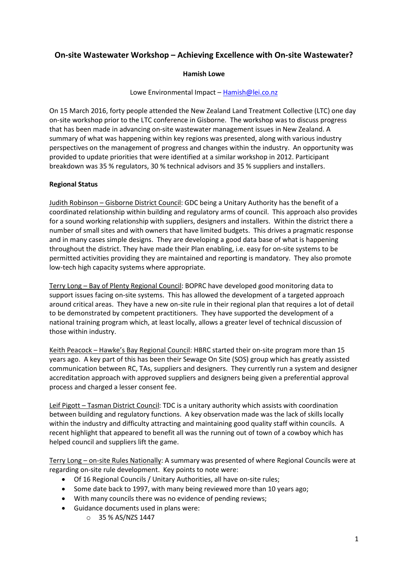# On-site Wastewater Workshop – Achieving Excellence with On-site Wastewater?

#### Hamish Lowe

Lowe Environmental Impact – Hamish@lei.co.nz

On 15 March 2016, forty people attended the New Zealand Land Treatment Collective (LTC) one day on-site workshop prior to the LTC conference in Gisborne. The workshop was to discuss progress that has been made in advancing on-site wastewater management issues in New Zealand. A summary of what was happening within key regions was presented, along with various industry perspectives on the management of progress and changes within the industry. An opportunity was provided to update priorities that were identified at a similar workshop in 2012. Participant breakdown was 35 % regulators, 30 % technical advisors and 35 % suppliers and installers.

## Regional Status

Judith Robinson – Gisborne District Council: GDC being a Unitary Authority has the benefit of a coordinated relationship within building and regulatory arms of council. This approach also provides for a sound working relationship with suppliers, designers and installers. Within the district there a number of small sites and with owners that have limited budgets. This drives a pragmatic response and in many cases simple designs. They are developing a good data base of what is happening throughout the district. They have made their Plan enabling, i.e. easy for on-site systems to be permitted activities providing they are maintained and reporting is mandatory. They also promote low-tech high capacity systems where appropriate.

Terry Long – Bay of Plenty Regional Council: BOPRC have developed good monitoring data to support issues facing on-site systems. This has allowed the development of a targeted approach around critical areas. They have a new on-site rule in their regional plan that requires a lot of detail to be demonstrated by competent practitioners. They have supported the development of a national training program which, at least locally, allows a greater level of technical discussion of those within industry.

Keith Peacock – Hawke's Bay Regional Council: HBRC started their on-site program more than 15 years ago. A key part of this has been their Sewage On Site (SOS) group which has greatly assisted communication between RC, TAs, suppliers and designers. They currently run a system and designer accreditation approach with approved suppliers and designers being given a preferential approval process and charged a lesser consent fee.

Leif Pigott – Tasman District Council: TDC is a unitary authority which assists with coordination between building and regulatory functions. A key observation made was the lack of skills locally within the industry and difficulty attracting and maintaining good quality staff within councils. A recent highlight that appeared to benefit all was the running out of town of a cowboy which has helped council and suppliers lift the game.

Terry Long – on-site Rules Nationally: A summary was presented of where Regional Councils were at regarding on-site rule development. Key points to note were:

- Of 16 Regional Councils / Unitary Authorities, all have on-site rules;
- Some date back to 1997, with many being reviewed more than 10 years ago;
- With many councils there was no evidence of pending reviews;
- Guidance documents used in plans were:
	- o 35 % AS/NZS 1447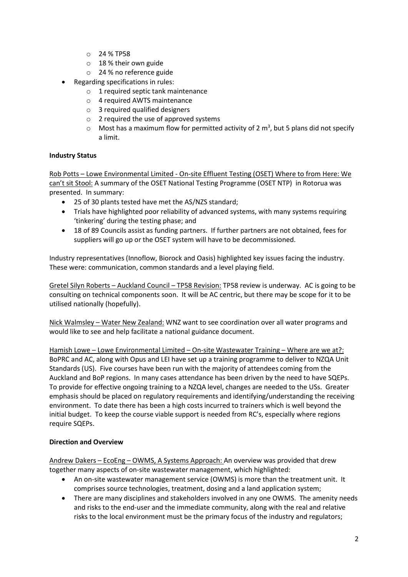- o 24 % TP58
- o 18 % their own guide
- o 24 % no reference guide
- Regarding specifications in rules:
	- o 1 required septic tank maintenance
	- o 4 required AWTS maintenance
	- o 3 required qualified designers
	- o 2 required the use of approved systems
	- $\circ$  Most has a maximum flow for permitted activity of 2 m<sup>3</sup>, but 5 plans did not specify a limit.

## Industry Status

Rob Potts – Lowe Environmental Limited - On-site Effluent Testing (OSET) Where to from Here: We can't sit Stool: A summary of the OSET National Testing Programme (OSET NTP) in Rotorua was presented. In summary:

- 25 of 30 plants tested have met the AS/NZS standard;
- Trials have highlighted poor reliability of advanced systems, with many systems requiring 'tinkering' during the testing phase; and
- 18 of 89 Councils assist as funding partners. If further partners are not obtained, fees for suppliers will go up or the OSET system will have to be decommissioned.

Industry representatives (Innoflow, Biorock and Oasis) highlighted key issues facing the industry. These were: communication, common standards and a level playing field.

Gretel Silyn Roberts – Auckland Council – TP58 Revision: TP58 review is underway. AC is going to be consulting on technical components soon. It will be AC centric, but there may be scope for it to be utilised nationally (hopefully).

Nick Walmsley – Water New Zealand: WNZ want to see coordination over all water programs and would like to see and help facilitate a national guidance document.

Hamish Lowe – Lowe Environmental Limited – On-site Wastewater Training – Where are we at?: BoPRC and AC, along with Opus and LEI have set up a training programme to deliver to NZQA Unit Standards (US). Five courses have been run with the majority of attendees coming from the Auckland and BoP regions. In many cases attendance has been driven by the need to have SQEPs. To provide for effective ongoing training to a NZQA level, changes are needed to the USs. Greater emphasis should be placed on regulatory requirements and identifying/understanding the receiving environment. To date there has been a high costs incurred to trainers which is well beyond the initial budget. To keep the course viable support is needed from RC's, especially where regions require SQEPs.

## Direction and Overview

Andrew Dakers – EcoEng – OWMS, A Systems Approach: An overview was provided that drew together many aspects of on-site wastewater management, which highlighted:

- An on-site wastewater management service (OWMS) is more than the treatment unit. It comprises source technologies, treatment, dosing and a land application system;
- There are many disciplines and stakeholders involved in any one OWMS. The amenity needs and risks to the end-user and the immediate community, along with the real and relative risks to the local environment must be the primary focus of the industry and regulators;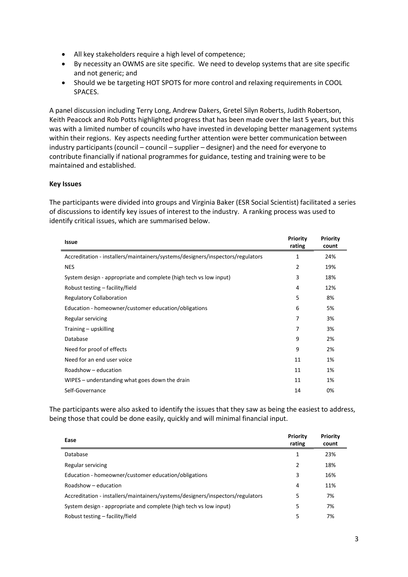- All key stakeholders require a high level of competence;
- By necessity an OWMS are site specific. We need to develop systems that are site specific and not generic; and
- Should we be targeting HOT SPOTS for more control and relaxing requirements in COOL SPACES.

A panel discussion including Terry Long, Andrew Dakers, Gretel Silyn Roberts, Judith Robertson, Keith Peacock and Rob Potts highlighted progress that has been made over the last 5 years, but this was with a limited number of councils who have invested in developing better management systems within their regions. Key aspects needing further attention were better communication between industry participants (council – council – supplier – designer) and the need for everyone to contribute financially if national programmes for guidance, testing and training were to be maintained and established.

#### Key Issues

The participants were divided into groups and Virginia Baker (ESR Social Scientist) facilitated a series of discussions to identify key issues of interest to the industry. A ranking process was used to identify critical issues, which are summarised below.

| <b>Issue</b>                                                                   | Priority<br>rating | Priority<br>count |
|--------------------------------------------------------------------------------|--------------------|-------------------|
| Accreditation - installers/maintainers/systems/designers/inspectors/regulators | 1                  | 24%               |
| <b>NES</b>                                                                     | $\overline{2}$     | 19%               |
| System design - appropriate and complete (high tech vs low input)              | 3                  | 18%               |
| Robust testing – facility/field                                                | 4                  | 12%               |
| <b>Regulatory Collaboration</b>                                                | 5                  | 8%                |
| Education - homeowner/customer education/obligations                           | 6                  | 5%                |
| Regular servicing                                                              | 7                  | 3%                |
| Training - upskilling                                                          | 7                  | 3%                |
| Database                                                                       | 9                  | 2%                |
| Need for proof of effects                                                      | 9                  | 2%                |
| Need for an end user voice                                                     | 11                 | 1%                |
| Roadshow - education                                                           | 11                 | 1%                |
| WIPES – understanding what goes down the drain                                 | 11                 | 1%                |
| Self-Governance                                                                | 14                 | 0%                |

The participants were also asked to identify the issues that they saw as being the easiest to address, being those that could be done easily, quickly and will minimal financial input.

| Ease                                                                           | Priority<br>rating | Priority<br>count |
|--------------------------------------------------------------------------------|--------------------|-------------------|
| Database                                                                       | 1                  | 23%               |
| Regular servicing                                                              | 2                  | 18%               |
| Education - homeowner/customer education/obligations                           | 3                  | 16%               |
| Roadshow - education                                                           | 4                  | 11%               |
| Accreditation - installers/maintainers/systems/designers/inspectors/regulators | 5                  | 7%                |
| System design - appropriate and complete (high tech vs low input)              | 5                  | 7%                |
| Robust testing – facility/field                                                | 5                  | 7%                |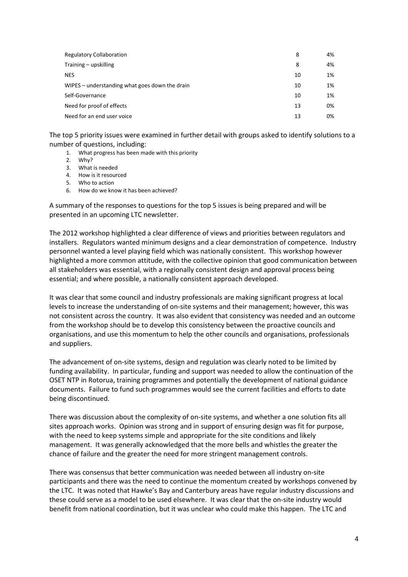| <b>Regulatory Collaboration</b>                | 8  | 4% |
|------------------------------------------------|----|----|
| Training – upskilling                          | 8  | 4% |
| <b>NES</b>                                     | 10 | 1% |
| WIPES – understanding what goes down the drain | 10 | 1% |
| Self-Governance                                | 10 | 1% |
| Need for proof of effects                      | 13 | 0% |
| Need for an end user voice                     | 13 | 0% |
|                                                |    |    |

The top 5 priority issues were examined in further detail with groups asked to identify solutions to a number of questions, including:

- 1. What progress has been made with this priority
- 2. Why?
- 3. What is needed
- 4. How is it resourced
- 5. Who to action
- 6. How do we know it has been achieved?

A summary of the responses to questions for the top 5 issues is being prepared and will be presented in an upcoming LTC newsletter.

The 2012 workshop highlighted a clear difference of views and priorities between regulators and installers. Regulators wanted minimum designs and a clear demonstration of competence. Industry personnel wanted a level playing field which was nationally consistent. This workshop however highlighted a more common attitude, with the collective opinion that good communication between all stakeholders was essential, with a regionally consistent design and approval process being essential; and where possible, a nationally consistent approach developed.

It was clear that some council and industry professionals are making significant progress at local levels to increase the understanding of on-site systems and their management; however, this was not consistent across the country. It was also evident that consistency was needed and an outcome from the workshop should be to develop this consistency between the proactive councils and organisations, and use this momentum to help the other councils and organisations, professionals and suppliers.

The advancement of on-site systems, design and regulation was clearly noted to be limited by funding availability. In particular, funding and support was needed to allow the continuation of the OSET NTP in Rotorua, training programmes and potentially the development of national guidance documents. Failure to fund such programmes would see the current facilities and efforts to date being discontinued.

There was discussion about the complexity of on-site systems, and whether a one solution fits all sites approach works. Opinion was strong and in support of ensuring design was fit for purpose, with the need to keep systems simple and appropriate for the site conditions and likely management. It was generally acknowledged that the more bells and whistles the greater the chance of failure and the greater the need for more stringent management controls.

There was consensus that better communication was needed between all industry on-site participants and there was the need to continue the momentum created by workshops convened by the LTC. It was noted that Hawke's Bay and Canterbury areas have regular industry discussions and these could serve as a model to be used elsewhere. It was clear that the on-site industry would benefit from national coordination, but it was unclear who could make this happen. The LTC and